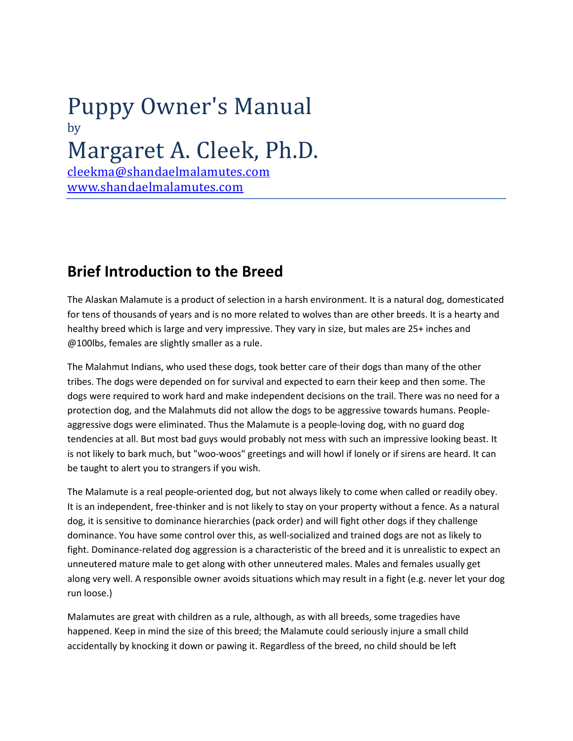# Puppy Owner's Manual by [Margaret A. Cleek, P](mailto:cleekma@shandaelmalamutes.com)h.D.

[cleekma@shandaelmalamutes.](http://shandaelmalamutes.com/)com www.shandaelmalamutes.com

#### **Brief Introduction to the Breed**

The Alaskan Malamute is a product of selection in a harsh environment. It is a natural dog, domesticated for tens of thousands of years and is no more related to wolves than are other breeds. It is a hearty and healthy breed which is large and very impressive. They vary in size, but males are 25+ inches and @100lbs, females are slightly smaller as a rule.

The Malahmut Indians, who used these dogs, took better care of their dogs than many of the other tribes. The dogs were depended on for survival and expected to earn their keep and then some. The dogs were required to work hard and make independent decisions on the trail. There was no need for a protection dog, and the Malahmuts did not allow the dogs to be aggressive towards humans. Peopleaggressive dogs were eliminated. Thus the Malamute is a people-loving dog, with no guard dog tendencies at all. But most bad guys would probably not mess with such an impressive looking beast. It is not likely to bark much, but "woo-woos" greetings and will howl if lonely or if sirens are heard. It can be taught to alert you to strangers if you wish.

The Malamute is a real people-oriented dog, but not always likely to come when called or readily obey. It is an independent, free-thinker and is not likely to stay on your property without a fence. As a natural dog, it is sensitive to dominance hierarchies (pack order) and will fight other dogs if they challenge dominance. You have some control over this, as well-socialized and trained dogs are not as likely to fight. Dominance-related dog aggression is a characteristic of the breed and it is unrealistic to expect an unneutered mature male to get along with other unneutered males. Males and females usually get along very well. A responsible owner avoids situations which may result in a fight (e.g. never let your dog run loose.)

Malamutes are great with children as a rule, although, as with all breeds, some tragedies have happened. Keep in mind the size of this breed; the Malamute could seriously injure a small child accidentally by knocking it down or pawing it. Regardless of the breed, no child should be left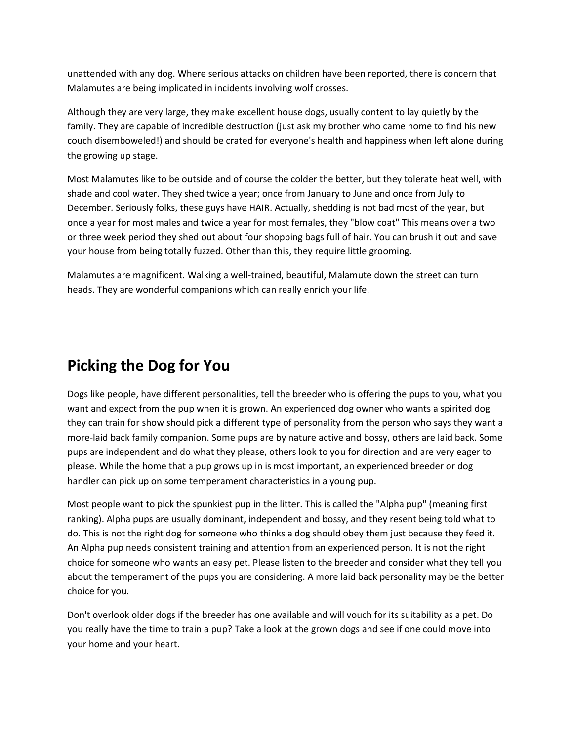unattended with any dog. Where serious attacks on children have been reported, there is concern that Malamutes are being implicated in incidents involving wolf crosses.

Although they are very large, they make excellent house dogs, usually content to lay quietly by the family. They are capable of incredible destruction (just ask my brother who came home to find his new couch disemboweled!) and should be crated for everyone's health and happiness when left alone during the growing up stage.

Most Malamutes like to be outside and of course the colder the better, but they tolerate heat well, with shade and cool water. They shed twice a year; once from January to June and once from July to December. Seriously folks, these guys have HAIR. Actually, shedding is not bad most of the year, but once a year for most males and twice a year for most females, they "blow coat" This means over a two or three week period they shed out about four shopping bags full of hair. You can brush it out and save your house from being totally fuzzed. Other than this, they require little grooming.

Malamutes are magnificent. Walking a well-trained, beautiful, Malamute down the street can turn heads. They are wonderful companions which can really enrich your life.

#### **Picking the Dog for You**

Dogs like people, have different personalities, tell the breeder who is offering the pups to you, what you want and expect from the pup when it is grown. An experienced dog owner who wants a spirited dog they can train for show should pick a different type of personality from the person who says they want a more-laid back family companion. Some pups are by nature active and bossy, others are laid back. Some pups are independent and do what they please, others look to you for direction and are very eager to please. While the home that a pup grows up in is most important, an experienced breeder or dog handler can pick up on some temperament characteristics in a young pup.

Most people want to pick the spunkiest pup in the litter. This is called the "Alpha pup" (meaning first ranking). Alpha pups are usually dominant, independent and bossy, and they resent being told what to do. This is not the right dog for someone who thinks a dog should obey them just because they feed it. An Alpha pup needs consistent training and attention from an experienced person. It is not the right choice for someone who wants an easy pet. Please listen to the breeder and consider what they tell you about the temperament of the pups you are considering. A more laid back personality may be the better choice for you.

Don't overlook older dogs if the breeder has one available and will vouch for its suitability as a pet. Do you really have the time to train a pup? Take a look at the grown dogs and see if one could move into your home and your heart.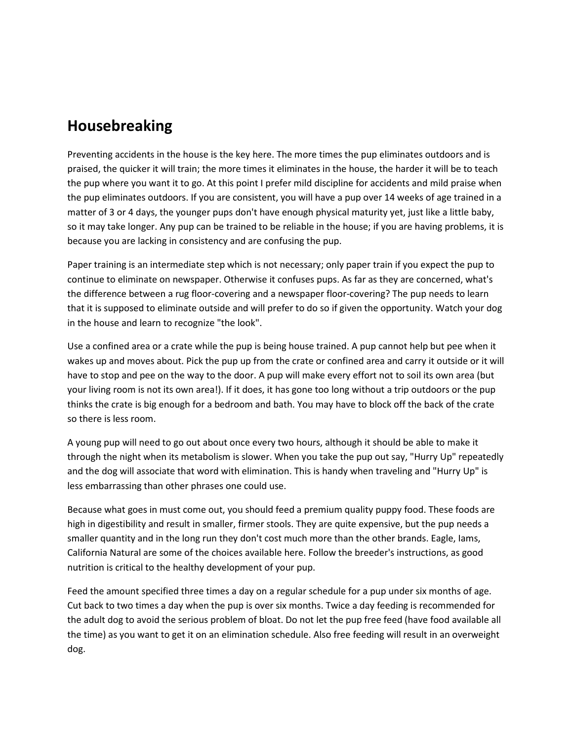#### **Housebreaking**

Preventing accidents in the house is the key here. The more times the pup eliminates outdoors and is praised, the quicker it will train; the more times it eliminates in the house, the harder it will be to teach the pup where you want it to go. At this point I prefer mild discipline for accidents and mild praise when the pup eliminates outdoors. If you are consistent, you will have a pup over 14 weeks of age trained in a matter of 3 or 4 days, the younger pups don't have enough physical maturity yet, just like a little baby, so it may take longer. Any pup can be trained to be reliable in the house; if you are having problems, it is because you are lacking in consistency and are confusing the pup.

Paper training is an intermediate step which is not necessary; only paper train if you expect the pup to continue to eliminate on newspaper. Otherwise it confuses pups. As far as they are concerned, what's the difference between a rug floor-covering and a newspaper floor-covering? The pup needs to learn that it is supposed to eliminate outside and will prefer to do so if given the opportunity. Watch your dog in the house and learn to recognize "the look".

Use a confined area or a crate while the pup is being house trained. A pup cannot help but pee when it wakes up and moves about. Pick the pup up from the crate or confined area and carry it outside or it will have to stop and pee on the way to the door. A pup will make every effort not to soil its own area (but your living room is not its own area!). If it does, it has gone too long without a trip outdoors or the pup thinks the crate is big enough for a bedroom and bath. You may have to block off the back of the crate so there is less room.

A young pup will need to go out about once every two hours, although it should be able to make it through the night when its metabolism is slower. When you take the pup out say, "Hurry Up" repeatedly and the dog will associate that word with elimination. This is handy when traveling and "Hurry Up" is less embarrassing than other phrases one could use.

Because what goes in must come out, you should feed a premium quality puppy food. These foods are high in digestibility and result in smaller, firmer stools. They are quite expensive, but the pup needs a smaller quantity and in the long run they don't cost much more than the other brands. Eagle, Iams, California Natural are some of the choices available here. Follow the breeder's instructions, as good nutrition is critical to the healthy development of your pup.

Feed the amount specified three times a day on a regular schedule for a pup under six months of age. Cut back to two times a day when the pup is over six months. Twice a day feeding is recommended for the adult dog to avoid the serious problem of bloat. Do not let the pup free feed (have food available all the time) as you want to get it on an elimination schedule. Also free feeding will result in an overweight dog.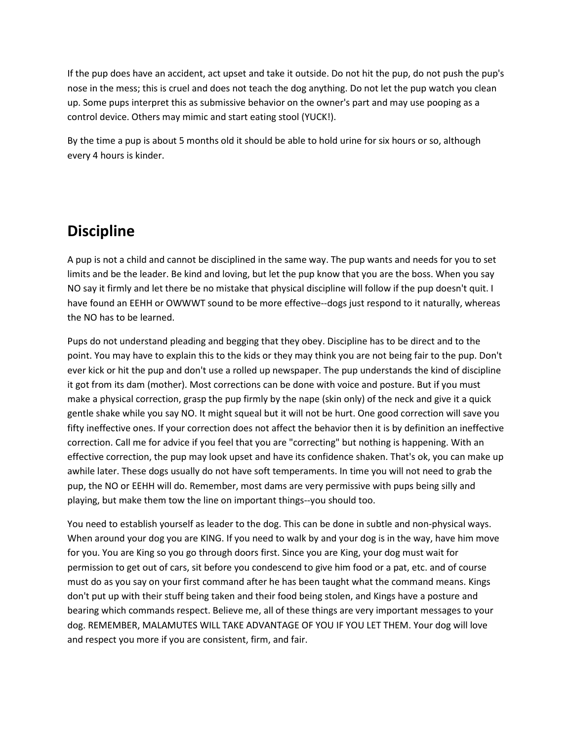If the pup does have an accident, act upset and take it outside. Do not hit the pup, do not push the pup's nose in the mess; this is cruel and does not teach the dog anything. Do not let the pup watch you clean up. Some pups interpret this as submissive behavior on the owner's part and may use pooping as a control device. Others may mimic and start eating stool (YUCK!).

By the time a pup is about 5 months old it should be able to hold urine for six hours or so, although every 4 hours is kinder.

### **Discipline**

A pup is not a child and cannot be disciplined in the same way. The pup wants and needs for you to set limits and be the leader. Be kind and loving, but let the pup know that you are the boss. When you say NO say it firmly and let there be no mistake that physical discipline will follow if the pup doesn't quit. I have found an EEHH or OWWWT sound to be more effective--dogs just respond to it naturally, whereas the NO has to be learned.

Pups do not understand pleading and begging that they obey. Discipline has to be direct and to the point. You may have to explain this to the kids or they may think you are not being fair to the pup. Don't ever kick or hit the pup and don't use a rolled up newspaper. The pup understands the kind of discipline it got from its dam (mother). Most corrections can be done with voice and posture. But if you must make a physical correction, grasp the pup firmly by the nape (skin only) of the neck and give it a quick gentle shake while you say NO. It might squeal but it will not be hurt. One good correction will save you fifty ineffective ones. If your correction does not affect the behavior then it is by definition an ineffective correction. Call me for advice if you feel that you are "correcting" but nothing is happening. With an effective correction, the pup may look upset and have its confidence shaken. That's ok, you can make up awhile later. These dogs usually do not have soft temperaments. In time you will not need to grab the pup, the NO or EEHH will do. Remember, most dams are very permissive with pups being silly and playing, but make them tow the line on important things--you should too.

You need to establish yourself as leader to the dog. This can be done in subtle and non-physical ways. When around your dog you are KING. If you need to walk by and your dog is in the way, have him move for you. You are King so you go through doors first. Since you are King, your dog must wait for permission to get out of cars, sit before you condescend to give him food or a pat, etc. and of course must do as you say on your first command after he has been taught what the command means. Kings don't put up with their stuff being taken and their food being stolen, and Kings have a posture and bearing which commands respect. Believe me, all of these things are very important messages to your dog. REMEMBER, MALAMUTES WILL TAKE ADVANTAGE OF YOU IF YOU LET THEM. Your dog will love and respect you more if you are consistent, firm, and fair.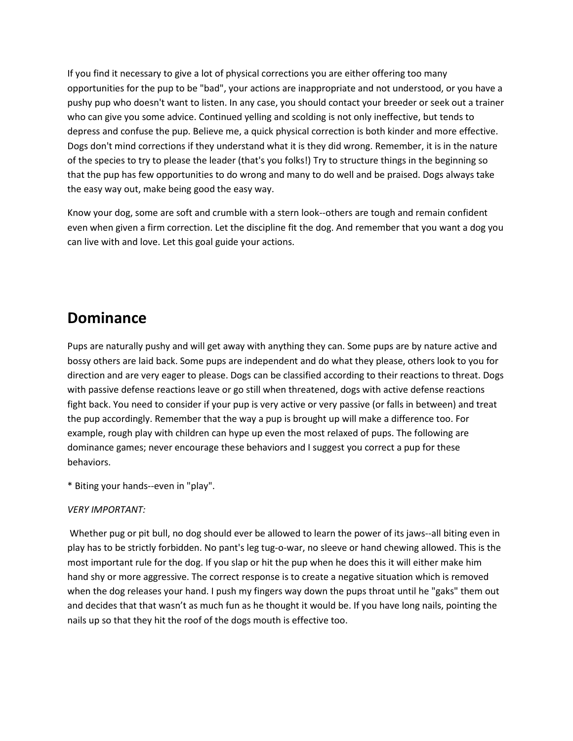If you find it necessary to give a lot of physical corrections you are either offering too many opportunities for the pup to be "bad", your actions are inappropriate and not understood, or you have a pushy pup who doesn't want to listen. In any case, you should contact your breeder or seek out a trainer who can give you some advice. Continued yelling and scolding is not only ineffective, but tends to depress and confuse the pup. Believe me, a quick physical correction is both kinder and more effective. Dogs don't mind corrections if they understand what it is they did wrong. Remember, it is in the nature of the species to try to please the leader (that's you folks!) Try to structure things in the beginning so that the pup has few opportunities to do wrong and many to do well and be praised. Dogs always take the easy way out, make being good the easy way.

Know your dog, some are soft and crumble with a stern look--others are tough and remain confident even when given a firm correction. Let the discipline fit the dog. And remember that you want a dog you can live with and love. Let this goal guide your actions.

#### **Dominance**

Pups are naturally pushy and will get away with anything they can. Some pups are by nature active and bossy others are laid back. Some pups are independent and do what they please, others look to you for direction and are very eager to please. Dogs can be classified according to their reactions to threat. Dogs with passive defense reactions leave or go still when threatened, dogs with active defense reactions fight back. You need to consider if your pup is very active or very passive (or falls in between) and treat the pup accordingly. Remember that the way a pup is brought up will make a difference too. For example, rough play with children can hype up even the most relaxed of pups. The following are dominance games; never encourage these behaviors and I suggest you correct a pup for these behaviors.

\* Biting your hands--even in "play".

#### *VERY IMPORTANT:*

Whether pug or pit bull, no dog should ever be allowed to learn the power of its jaws--all biting even in play has to be strictly forbidden. No pant's leg tug-o-war, no sleeve or hand chewing allowed. This is the most important rule for the dog. If you slap or hit the pup when he does this it will either make him hand shy or more aggressive. The correct response is to create a negative situation which is removed when the dog releases your hand. I push my fingers way down the pups throat until he "gaks" them out and decides that that wasn't as much fun as he thought it would be. If you have long nails, pointing the nails up so that they hit the roof of the dogs mouth is effective too.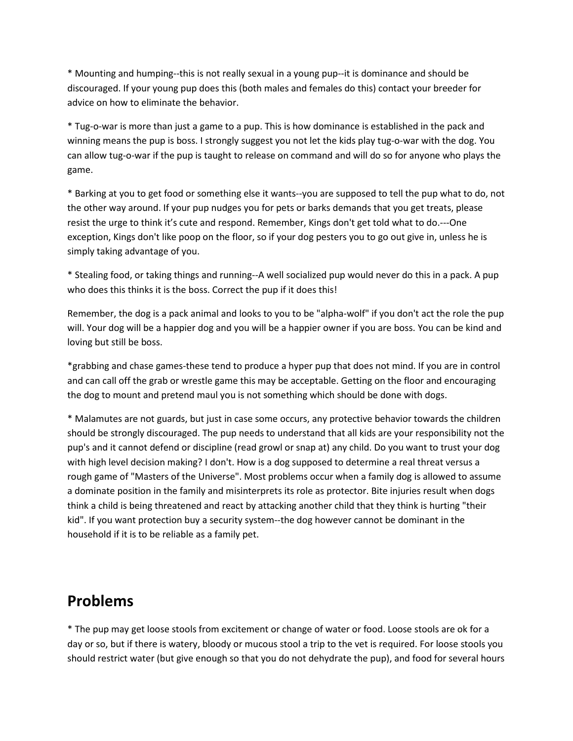\* Mounting and humping--this is not really sexual in a young pup--it is dominance and should be discouraged. If your young pup does this (both males and females do this) contact your breeder for advice on how to eliminate the behavior.

\* Tug-o-war is more than just a game to a pup. This is how dominance is established in the pack and winning means the pup is boss. I strongly suggest you not let the kids play tug-o-war with the dog. You can allow tug-o-war if the pup is taught to release on command and will do so for anyone who plays the game.

\* Barking at you to get food or something else it wants--you are supposed to tell the pup what to do, not the other way around. If your pup nudges you for pets or barks demands that you get treats, please resist the urge to think it's cute and respond. Remember, Kings don't get told what to do.---One exception, Kings don't like poop on the floor, so if your dog pesters you to go out give in, unless he is simply taking advantage of you.

\* Stealing food, or taking things and running--A well socialized pup would never do this in a pack. A pup who does this thinks it is the boss. Correct the pup if it does this!

Remember, the dog is a pack animal and looks to you to be "alpha-wolf" if you don't act the role the pup will. Your dog will be a happier dog and you will be a happier owner if you are boss. You can be kind and loving but still be boss.

\*grabbing and chase games-these tend to produce a hyper pup that does not mind. If you are in control and can call off the grab or wrestle game this may be acceptable. Getting on the floor and encouraging the dog to mount and pretend maul you is not something which should be done with dogs.

\* Malamutes are not guards, but just in case some occurs, any protective behavior towards the children should be strongly discouraged. The pup needs to understand that all kids are your responsibility not the pup's and it cannot defend or discipline (read growl or snap at) any child. Do you want to trust your dog with high level decision making? I don't. How is a dog supposed to determine a real threat versus a rough game of "Masters of the Universe". Most problems occur when a family dog is allowed to assume a dominate position in the family and misinterprets its role as protector. Bite injuries result when dogs think a child is being threatened and react by attacking another child that they think is hurting "their kid". If you want protection buy a security system--the dog however cannot be dominant in the household if it is to be reliable as a family pet.

#### **Problems**

\* The pup may get loose stools from excitement or change of water or food. Loose stools are ok for a day or so, but if there is watery, bloody or mucous stool a trip to the vet is required. For loose stools you should restrict water (but give enough so that you do not dehydrate the pup), and food for several hours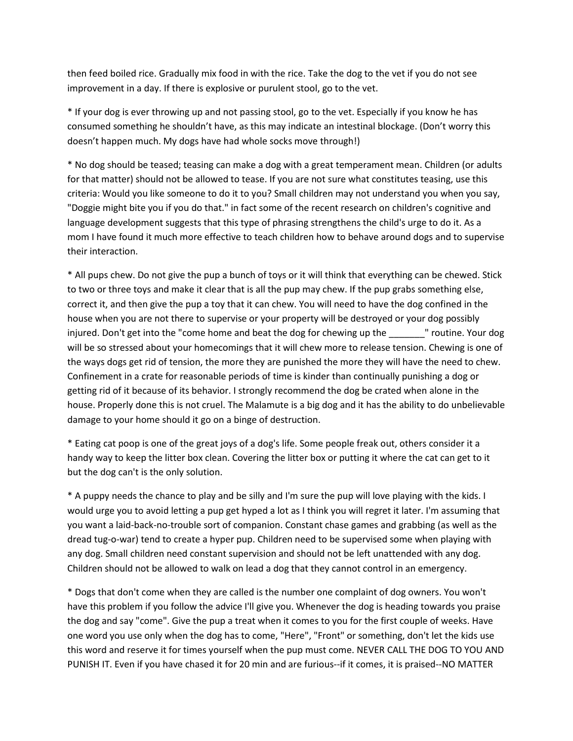then feed boiled rice. Gradually mix food in with the rice. Take the dog to the vet if you do not see improvement in a day. If there is explosive or purulent stool, go to the vet.

\* If your dog is ever throwing up and not passing stool, go to the vet. Especially if you know he has consumed something he shouldn't have, as this may indicate an intestinal blockage. (Don't worry this doesn't happen much. My dogs have had whole socks move through!)

\* No dog should be teased; teasing can make a dog with a great temperament mean. Children (or adults for that matter) should not be allowed to tease. If you are not sure what constitutes teasing, use this criteria: Would you like someone to do it to you? Small children may not understand you when you say, "Doggie might bite you if you do that." in fact some of the recent research on children's cognitive and language development suggests that this type of phrasing strengthens the child's urge to do it. As a mom I have found it much more effective to teach children how to behave around dogs and to supervise their interaction.

\* All pups chew. Do not give the pup a bunch of toys or it will think that everything can be chewed. Stick to two or three toys and make it clear that is all the pup may chew. If the pup grabs something else, correct it, and then give the pup a toy that it can chew. You will need to have the dog confined in the house when you are not there to supervise or your property will be destroyed or your dog possibly injured. Don't get into the "come home and beat the dog for chewing up the \_\_\_\_\_\_" routine. Your dog will be so stressed about your homecomings that it will chew more to release tension. Chewing is one of the ways dogs get rid of tension, the more they are punished the more they will have the need to chew. Confinement in a crate for reasonable periods of time is kinder than continually punishing a dog or getting rid of it because of its behavior. I strongly recommend the dog be crated when alone in the house. Properly done this is not cruel. The Malamute is a big dog and it has the ability to do unbelievable damage to your home should it go on a binge of destruction.

\* Eating cat poop is one of the great joys of a dog's life. Some people freak out, others consider it a handy way to keep the litter box clean. Covering the litter box or putting it where the cat can get to it but the dog can't is the only solution.

\* A puppy needs the chance to play and be silly and I'm sure the pup will love playing with the kids. I would urge you to avoid letting a pup get hyped a lot as I think you will regret it later. I'm assuming that you want a laid-back-no-trouble sort of companion. Constant chase games and grabbing (as well as the dread tug-o-war) tend to create a hyper pup. Children need to be supervised some when playing with any dog. Small children need constant supervision and should not be left unattended with any dog. Children should not be allowed to walk on lead a dog that they cannot control in an emergency.

\* Dogs that don't come when they are called is the number one complaint of dog owners. You won't have this problem if you follow the advice I'll give you. Whenever the dog is heading towards you praise the dog and say "come". Give the pup a treat when it comes to you for the first couple of weeks. Have one word you use only when the dog has to come, "Here", "Front" or something, don't let the kids use this word and reserve it for times yourself when the pup must come. NEVER CALL THE DOG TO YOU AND PUNISH IT. Even if you have chased it for 20 min and are furious--if it comes, it is praised--NO MATTER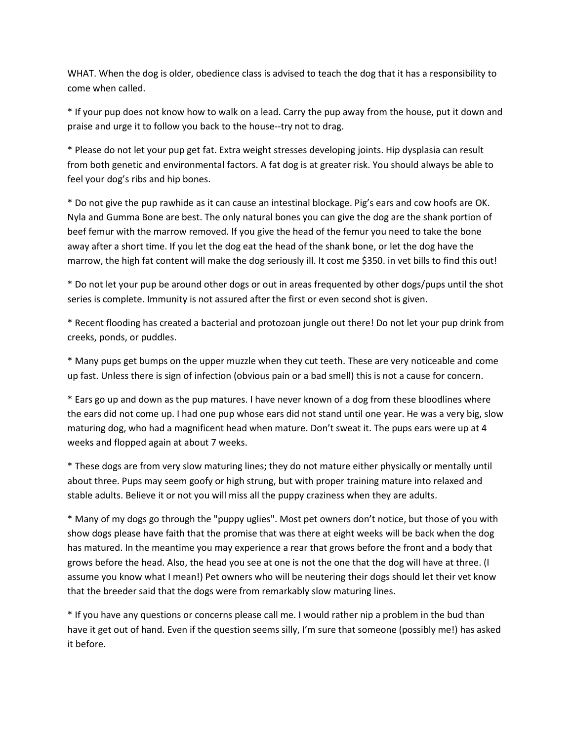WHAT. When the dog is older, obedience class is advised to teach the dog that it has a responsibility to come when called.

\* If your pup does not know how to walk on a lead. Carry the pup away from the house, put it down and praise and urge it to follow you back to the house--try not to drag.

\* Please do not let your pup get fat. Extra weight stresses developing joints. Hip dysplasia can result from both genetic and environmental factors. A fat dog is at greater risk. You should always be able to feel your dog's ribs and hip bones.

\* Do not give the pup rawhide as it can cause an intestinal blockage. Pig's ears and cow hoofs are OK. Nyla and Gumma Bone are best. The only natural bones you can give the dog are the shank portion of beef femur with the marrow removed. If you give the head of the femur you need to take the bone away after a short time. If you let the dog eat the head of the shank bone, or let the dog have the marrow, the high fat content will make the dog seriously ill. It cost me \$350. in vet bills to find this out!

\* Do not let your pup be around other dogs or out in areas frequented by other dogs/pups until the shot series is complete. Immunity is not assured after the first or even second shot is given.

\* Recent flooding has created a bacterial and protozoan jungle out there! Do not let your pup drink from creeks, ponds, or puddles.

\* Many pups get bumps on the upper muzzle when they cut teeth. These are very noticeable and come up fast. Unless there is sign of infection (obvious pain or a bad smell) this is not a cause for concern.

\* Ears go up and down as the pup matures. I have never known of a dog from these bloodlines where the ears did not come up. I had one pup whose ears did not stand until one year. He was a very big, slow maturing dog, who had a magnificent head when mature. Don't sweat it. The pups ears were up at 4 weeks and flopped again at about 7 weeks.

\* These dogs are from very slow maturing lines; they do not mature either physically or mentally until about three. Pups may seem goofy or high strung, but with proper training mature into relaxed and stable adults. Believe it or not you will miss all the puppy craziness when they are adults.

\* Many of my dogs go through the "puppy uglies". Most pet owners don't notice, but those of you with show dogs please have faith that the promise that was there at eight weeks will be back when the dog has matured. In the meantime you may experience a rear that grows before the front and a body that grows before the head. Also, the head you see at one is not the one that the dog will have at three. (I assume you know what I mean!) Pet owners who will be neutering their dogs should let their vet know that the breeder said that the dogs were from remarkably slow maturing lines.

\* If you have any questions or concerns please call me. I would rather nip a problem in the bud than have it get out of hand. Even if the question seems silly, I'm sure that someone (possibly me!) has asked it before.